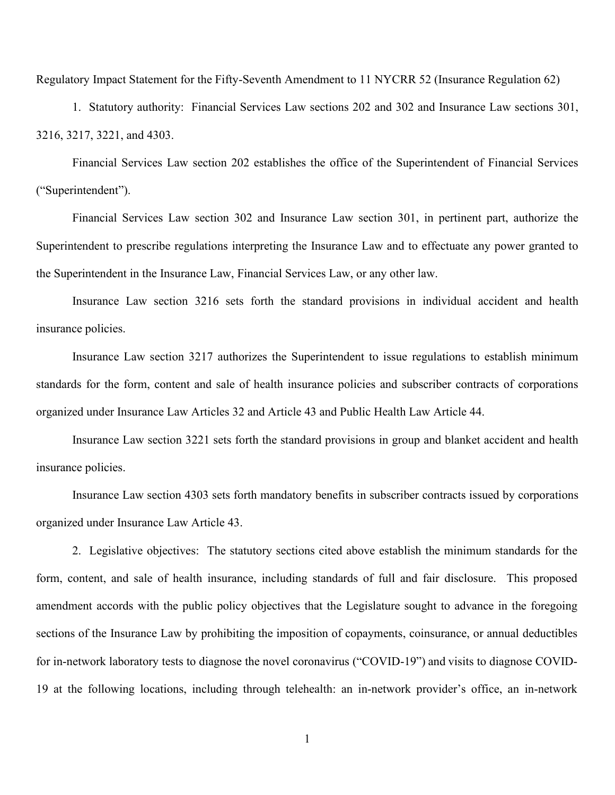Regulatory Impact Statement for the Fifty-Seventh Amendment to 11 NYCRR 52 (Insurance Regulation 62)

1. Statutory authority: Financial Services Law sections 202 and 302 and Insurance Law sections 301, 3216, 3217, 3221, and 4303.

Financial Services Law section 202 establishes the office of the Superintendent of Financial Services ("Superintendent").

Financial Services Law section 302 and Insurance Law section 301, in pertinent part, authorize the Superintendent to prescribe regulations interpreting the Insurance Law and to effectuate any power granted to the Superintendent in the Insurance Law, Financial Services Law, or any other law.

Insurance Law section 3216 sets forth the standard provisions in individual accident and health insurance policies.

Insurance Law section 3217 authorizes the Superintendent to issue regulations to establish minimum standards for the form, content and sale of health insurance policies and subscriber contracts of corporations organized under Insurance Law Articles 32 and Article 43 and Public Health Law Article 44.

Insurance Law section 3221 sets forth the standard provisions in group and blanket accident and health insurance policies.

Insurance Law section 4303 sets forth mandatory benefits in subscriber contracts issued by corporations organized under Insurance Law Article 43.

2. Legislative objectives: The statutory sections cited above establish the minimum standards for the form, content, and sale of health insurance, including standards of full and fair disclosure. This proposed amendment accords with the public policy objectives that the Legislature sought to advance in the foregoing sections of the Insurance Law by prohibiting the imposition of copayments, coinsurance, or annual deductibles for in-network laboratory tests to diagnose the novel coronavirus ("COVID-19") and visits to diagnose COVID-19 at the following locations, including through telehealth: an in-network provider's office, an in-network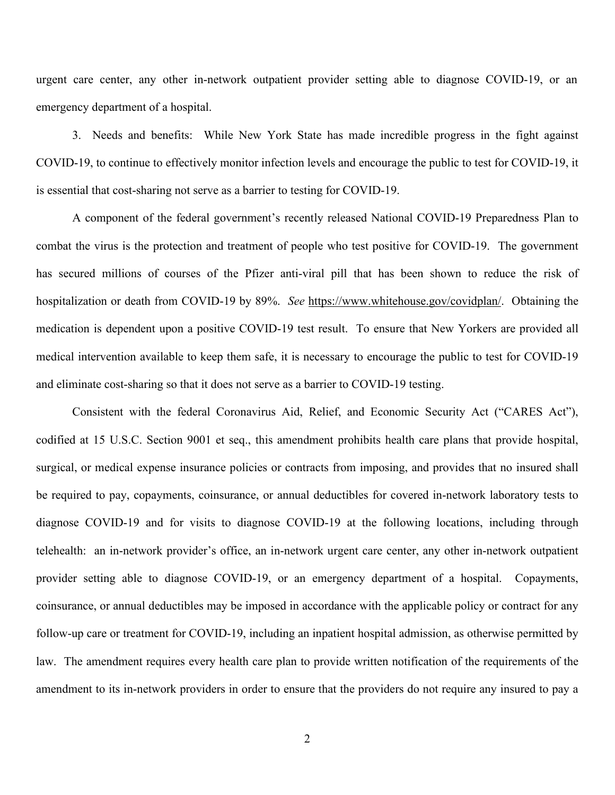urgent care center, any other in-network outpatient provider setting able to diagnose COVID-19, or an emergency department of a hospital.

3. Needs and benefits: While New York State has made incredible progress in the fight against COVID-19, to continue to effectively monitor infection levels and encourage the public to test for COVID-19, it is essential that cost-sharing not serve as a barrier to testing for COVID-19.

A component of the federal government's recently released National COVID-19 Preparedness Plan to combat the virus is the protection and treatment of people who test positive for COVID-19. The government has secured millions of courses of the Pfizer anti-viral pill that has been shown to reduce the risk of hospitalization or death from COVID-19 by 89%. *See* [https://www.whitehouse.gov/covidplan/.](https://www.whitehouse.gov/covidplan/) Obtaining the medication is dependent upon a positive COVID-19 test result. To ensure that New Yorkers are provided all medical intervention available to keep them safe, it is necessary to encourage the public to test for COVID-19 and eliminate cost-sharing so that it does not serve as a barrier to COVID-19 testing.

Consistent with the federal Coronavirus Aid, Relief, and Economic Security Act ("CARES Act"), codified at 15 U.S.C. Section 9001 et seq., this amendment prohibits health care plans that provide hospital, surgical, or medical expense insurance policies or contracts from imposing, and provides that no insured shall be required to pay, copayments, coinsurance, or annual deductibles for covered in-network laboratory tests to diagnose COVID-19 and for visits to diagnose COVID-19 at the following locations, including through telehealth: an in-network provider's office, an in-network urgent care center, any other in-network outpatient provider setting able to diagnose COVID-19, or an emergency department of a hospital. Copayments, coinsurance, or annual deductibles may be imposed in accordance with the applicable policy or contract for any follow-up care or treatment for COVID-19, including an inpatient hospital admission, as otherwise permitted by law. The amendment requires every health care plan to provide written notification of the requirements of the amendment to its in-network providers in order to ensure that the providers do not require any insured to pay a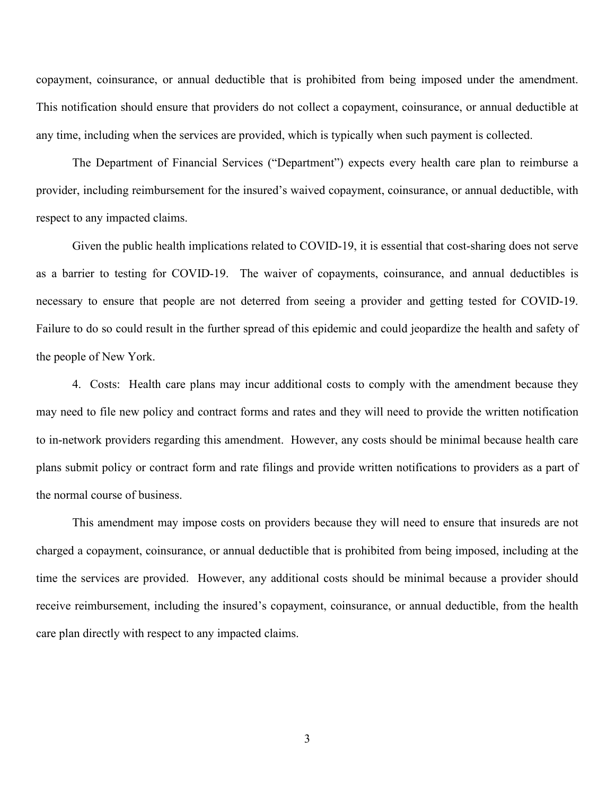copayment, coinsurance, or annual deductible that is prohibited from being imposed under the amendment. This notification should ensure that providers do not collect a copayment, coinsurance, or annual deductible at any time, including when the services are provided, which is typically when such payment is collected.

The Department of Financial Services ("Department") expects every health care plan to reimburse a provider, including reimbursement for the insured's waived copayment, coinsurance, or annual deductible, with respect to any impacted claims.

Given the public health implications related to COVID-19, it is essential that cost-sharing does not serve as a barrier to testing for COVID-19. The waiver of copayments, coinsurance, and annual deductibles is necessary to ensure that people are not deterred from seeing a provider and getting tested for COVID-19. Failure to do so could result in the further spread of this epidemic and could jeopardize the health and safety of the people of New York.

4. Costs: Health care plans may incur additional costs to comply with the amendment because they may need to file new policy and contract forms and rates and they will need to provide the written notification to in-network providers regarding this amendment. However, any costs should be minimal because health care plans submit policy or contract form and rate filings and provide written notifications to providers as a part of the normal course of business.

This amendment may impose costs on providers because they will need to ensure that insureds are not charged a copayment, coinsurance, or annual deductible that is prohibited from being imposed, including at the time the services are provided. However, any additional costs should be minimal because a provider should receive reimbursement, including the insured's copayment, coinsurance, or annual deductible, from the health care plan directly with respect to any impacted claims.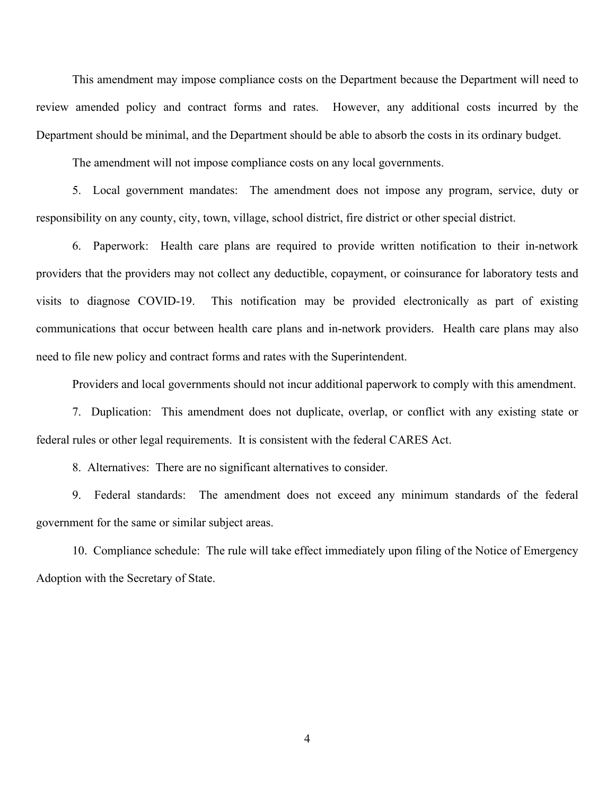This amendment may impose compliance costs on the Department because the Department will need to review amended policy and contract forms and rates. However, any additional costs incurred by the Department should be minimal, and the Department should be able to absorb the costs in its ordinary budget.

The amendment will not impose compliance costs on any local governments.

5. Local government mandates: The amendment does not impose any program, service, duty or responsibility on any county, city, town, village, school district, fire district or other special district.

6. Paperwork: Health care plans are required to provide written notification to their in-network providers that the providers may not collect any deductible, copayment, or coinsurance for laboratory tests and visits to diagnose COVID-19. This notification may be provided electronically as part of existing communications that occur between health care plans and in-network providers. Health care plans may also need to file new policy and contract forms and rates with the Superintendent.

Providers and local governments should not incur additional paperwork to comply with this amendment.

7. Duplication: This amendment does not duplicate, overlap, or conflict with any existing state or federal rules or other legal requirements. It is consistent with the federal CARES Act.

8. Alternatives: There are no significant alternatives to consider.

9. Federal standards: The amendment does not exceed any minimum standards of the federal government for the same or similar subject areas.

10. Compliance schedule: The rule will take effect immediately upon filing of the Notice of Emergency Adoption with the Secretary of State.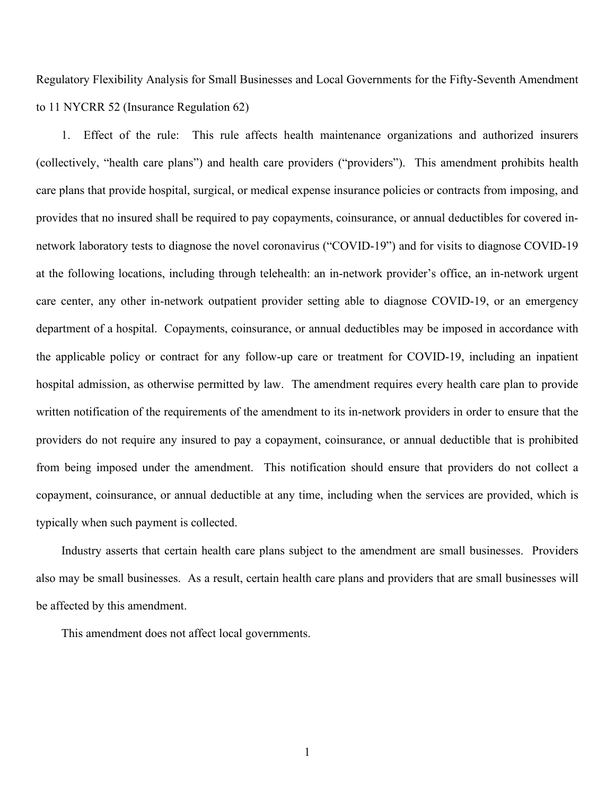Regulatory Flexibility Analysis for Small Businesses and Local Governments for the Fifty-Seventh Amendment to 11 NYCRR 52 (Insurance Regulation 62)

1. Effect of the rule: This rule affects health maintenance organizations and authorized insurers (collectively, "health care plans") and health care providers ("providers"). This amendment prohibits health care plans that provide hospital, surgical, or medical expense insurance policies or contracts from imposing, and provides that no insured shall be required to pay copayments, coinsurance, or annual deductibles for covered innetwork laboratory tests to diagnose the novel coronavirus ("COVID-19") and for visits to diagnose COVID-19 at the following locations, including through telehealth: an in-network provider's office, an in-network urgent care center, any other in-network outpatient provider setting able to diagnose COVID-19, or an emergency department of a hospital. Copayments, coinsurance, or annual deductibles may be imposed in accordance with the applicable policy or contract for any follow-up care or treatment for COVID-19, including an inpatient hospital admission, as otherwise permitted by law. The amendment requires every health care plan to provide written notification of the requirements of the amendment to its in-network providers in order to ensure that the providers do not require any insured to pay a copayment, coinsurance, or annual deductible that is prohibited from being imposed under the amendment. This notification should ensure that providers do not collect a copayment, coinsurance, or annual deductible at any time, including when the services are provided, which is typically when such payment is collected.

Industry asserts that certain health care plans subject to the amendment are small businesses. Providers also may be small businesses. As a result, certain health care plans and providers that are small businesses will be affected by this amendment.

This amendment does not affect local governments.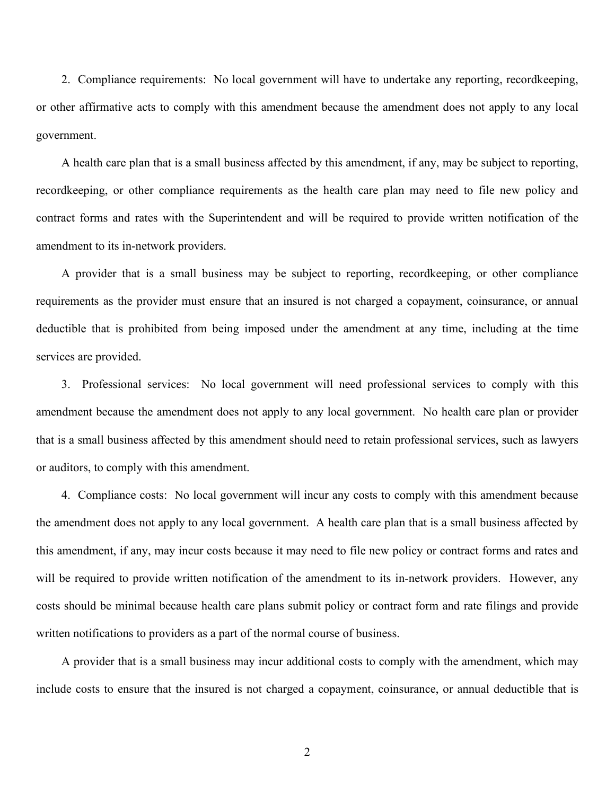2. Compliance requirements: No local government will have to undertake any reporting, recordkeeping, or other affirmative acts to comply with this amendment because the amendment does not apply to any local government.

A health care plan that is a small business affected by this amendment, if any, may be subject to reporting, recordkeeping, or other compliance requirements as the health care plan may need to file new policy and contract forms and rates with the Superintendent and will be required to provide written notification of the amendment to its in-network providers.

A provider that is a small business may be subject to reporting, recordkeeping, or other compliance requirements as the provider must ensure that an insured is not charged a copayment, coinsurance, or annual deductible that is prohibited from being imposed under the amendment at any time, including at the time services are provided.

3. Professional services: No local government will need professional services to comply with this amendment because the amendment does not apply to any local government. No health care plan or provider that is a small business affected by this amendment should need to retain professional services, such as lawyers or auditors, to comply with this amendment.

4. Compliance costs: No local government will incur any costs to comply with this amendment because the amendment does not apply to any local government. A health care plan that is a small business affected by this amendment, if any, may incur costs because it may need to file new policy or contract forms and rates and will be required to provide written notification of the amendment to its in-network providers. However, any costs should be minimal because health care plans submit policy or contract form and rate filings and provide written notifications to providers as a part of the normal course of business.

A provider that is a small business may incur additional costs to comply with the amendment, which may include costs to ensure that the insured is not charged a copayment, coinsurance, or annual deductible that is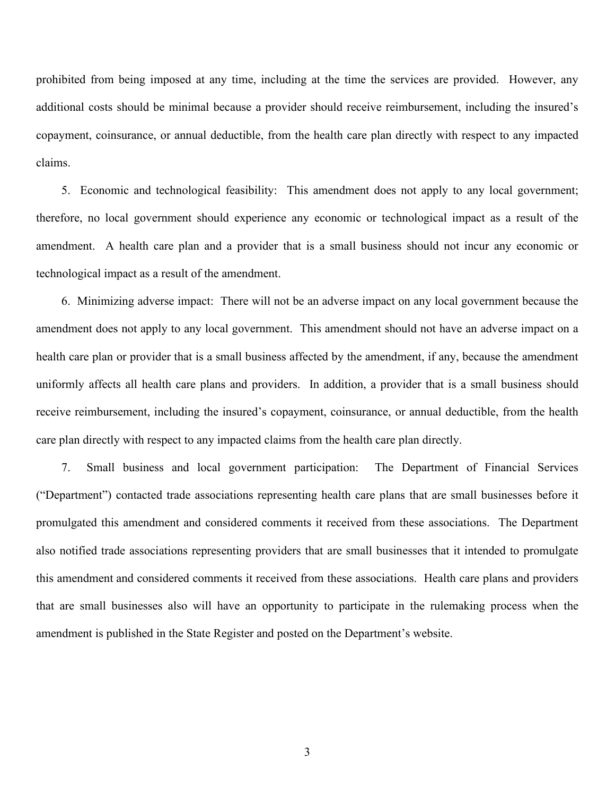prohibited from being imposed at any time, including at the time the services are provided. However, any additional costs should be minimal because a provider should receive reimbursement, including the insured's copayment, coinsurance, or annual deductible, from the health care plan directly with respect to any impacted claims.

5. Economic and technological feasibility: This amendment does not apply to any local government; therefore, no local government should experience any economic or technological impact as a result of the amendment. A health care plan and a provider that is a small business should not incur any economic or technological impact as a result of the amendment.

6. Minimizing adverse impact: There will not be an adverse impact on any local government because the amendment does not apply to any local government. This amendment should not have an adverse impact on a health care plan or provider that is a small business affected by the amendment, if any, because the amendment uniformly affects all health care plans and providers. In addition, a provider that is a small business should receive reimbursement, including the insured's copayment, coinsurance, or annual deductible, from the health care plan directly with respect to any impacted claims from the health care plan directly.

7. Small business and local government participation: The Department of Financial Services ("Department") contacted trade associations representing health care plans that are small businesses before it promulgated this amendment and considered comments it received from these associations. The Department also notified trade associations representing providers that are small businesses that it intended to promulgate this amendment and considered comments it received from these associations. Health care plans and providers that are small businesses also will have an opportunity to participate in the rulemaking process when the amendment is published in the State Register and posted on the Department's website.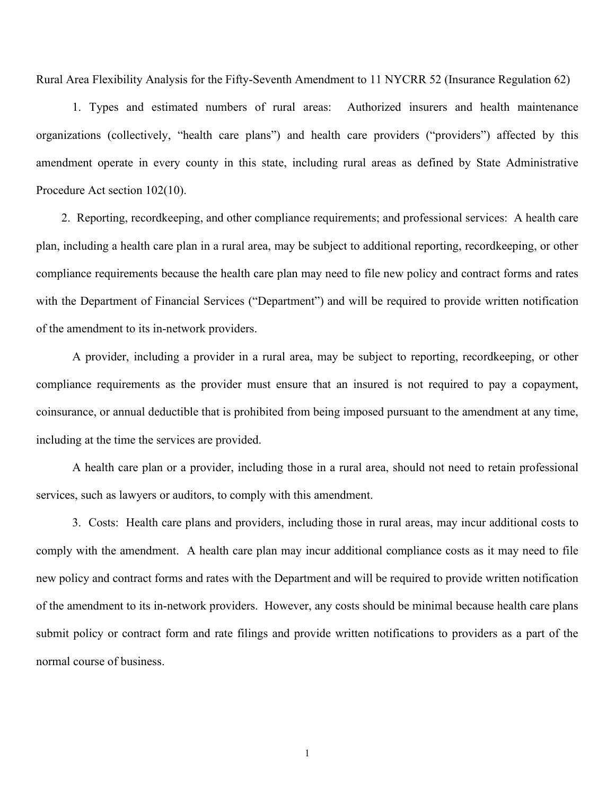Rural Area Flexibility Analysis for the Fifty-Seventh Amendment to 11 NYCRR 52 (Insurance Regulation 62)

1. Types and estimated numbers of rural areas: Authorized insurers and health maintenance organizations (collectively, "health care plans") and health care providers ("providers") affected by this amendment operate in every county in this state, including rural areas as defined by State Administrative Procedure Act section 102(10).

2. Reporting, recordkeeping, and other compliance requirements; and professional services: A health care plan, including a health care plan in a rural area, may be subject to additional reporting, recordkeeping, or other compliance requirements because the health care plan may need to file new policy and contract forms and rates with the Department of Financial Services ("Department") and will be required to provide written notification of the amendment to its in-network providers.

A provider, including a provider in a rural area, may be subject to reporting, recordkeeping, or other compliance requirements as the provider must ensure that an insured is not required to pay a copayment, coinsurance, or annual deductible that is prohibited from being imposed pursuant to the amendment at any time, including at the time the services are provided.

A health care plan or a provider, including those in a rural area, should not need to retain professional services, such as lawyers or auditors, to comply with this amendment.

3. Costs: Health care plans and providers, including those in rural areas, may incur additional costs to comply with the amendment. A health care plan may incur additional compliance costs as it may need to file new policy and contract forms and rates with the Department and will be required to provide written notification of the amendment to its in-network providers. However, any costs should be minimal because health care plans submit policy or contract form and rate filings and provide written notifications to providers as a part of the normal course of business.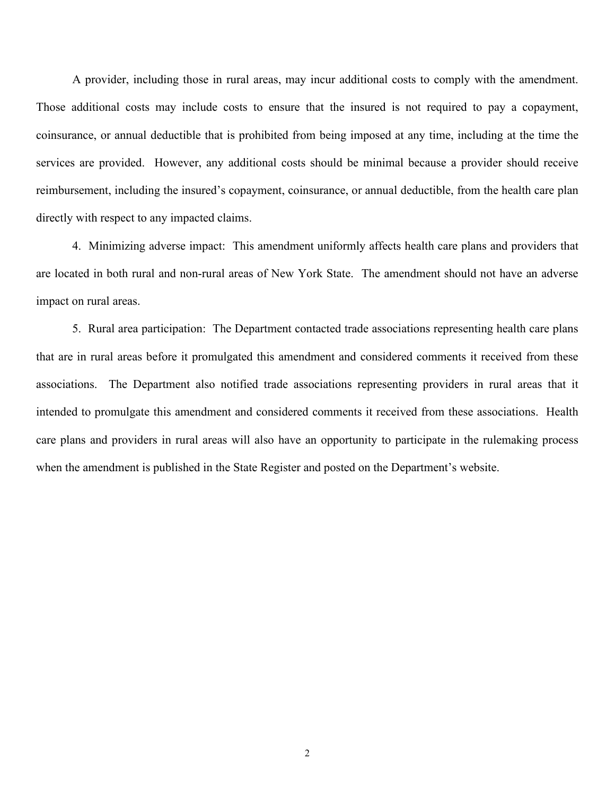A provider, including those in rural areas, may incur additional costs to comply with the amendment. Those additional costs may include costs to ensure that the insured is not required to pay a copayment, coinsurance, or annual deductible that is prohibited from being imposed at any time, including at the time the services are provided. However, any additional costs should be minimal because a provider should receive reimbursement, including the insured's copayment, coinsurance, or annual deductible, from the health care plan directly with respect to any impacted claims.

4. Minimizing adverse impact: This amendment uniformly affects health care plans and providers that are located in both rural and non-rural areas of New York State. The amendment should not have an adverse impact on rural areas.

5. Rural area participation: The Department contacted trade associations representing health care plans that are in rural areas before it promulgated this amendment and considered comments it received from these associations. The Department also notified trade associations representing providers in rural areas that it intended to promulgate this amendment and considered comments it received from these associations. Health care plans and providers in rural areas will also have an opportunity to participate in the rulemaking process when the amendment is published in the State Register and posted on the Department's website.